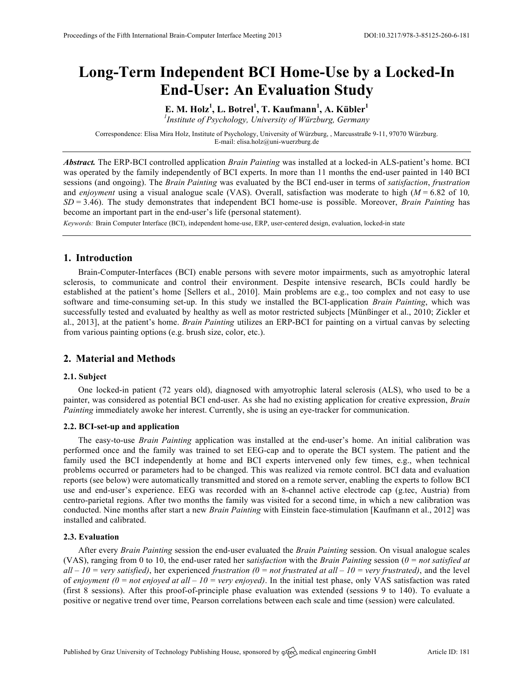# **Long-Term Independent BCI Home-Use by a Locked-In End-User: An Evaluation Study**

**E. M. Holz<sup>1</sup> , L. Botrel<sup>1</sup> , T. Kaufmann<sup>1</sup> , A. Kübler<sup>1</sup>** *1 Institute of Psychology, University of Würzburg, Germany* 

Correspondence: Elisa Mira Holz, Institute of Psychology, University of Würzburg, , Marcusstraße 9-11, 97070 Würzburg. E-mail: elisa.holz@uni-wuerzburg.de

*Abstract.* The ERP-BCI controlled application *Brain Painting* was installed at a locked-in ALS-patient's home. BCI was operated by the family independently of BCI experts. In more than 11 months the end-user painted in 140 BCI sessions (and ongoing). The *Brain Painting* was evaluated by the BCI end-user in terms of *satisfaction*, *frustration* and *enjoyment* using a visual analogue scale (VAS). Overall, satisfaction was moderate to high (*M* = 6.82 of 10*, SD* = 3.46). The study demonstrates that independent BCI home-use is possible. Moreover, *Brain Painting* has become an important part in the end-user's life (personal statement).

*Keywords:* Brain Computer Interface (BCI), independent home-use, ERP, user-centered design, evaluation, locked-in state

# **1. Introduction**

Brain-Computer-Interfaces (BCI) enable persons with severe motor impairments, such as amyotrophic lateral sclerosis, to communicate and control their environment. Despite intensive research, BCIs could hardly be established at the patient's home [Sellers et al., 2010]. Main problems are e.g., too complex and not easy to use software and time-consuming set-up. In this study we installed the BCI-application *Brain Painting*, which was successfully tested and evaluated by healthy as well as motor restricted subjects [Münßinger et al., 2010; Zickler et al., 2013], at the patient's home. *Brain Painting* utilizes an ERP-BCI for painting on a virtual canvas by selecting from various painting options (e.g. brush size, color, etc.).

# **2. Material and Methods**

## **2.1. Subject**

One locked-in patient (72 years old), diagnosed with amyotrophic lateral sclerosis (ALS), who used to be a painter, was considered as potential BCI end-user. As she had no existing application for creative expression, *Brain Painting* immediately awoke her interest. Currently, she is using an eye-tracker for communication.

## **2.2. BCI-set-up and application**

The easy-to-use *Brain Painting* application was installed at the end-user's home. An initial calibration was performed once and the family was trained to set EEG-cap and to operate the BCI system. The patient and the family used the BCI independently at home and BCI experts intervened only few times, e.g., when technical problems occurred or parameters had to be changed. This was realized via remote control. BCI data and evaluation reports (see below) were automatically transmitted and stored on a remote server, enabling the experts to follow BCI use and end-user's experience. EEG was recorded with an 8-channel active electrode cap (g.tec, Austria) from centro-parietal regions. After two months the family was visited for a second time, in which a new calibration was conducted. Nine months after start a new *Brain Painting* with Einstein face-stimulation [Kaufmann et al., 2012] was installed and calibrated.

## **2.3. Evaluation**

After every *Brain Painting* session the end-user evaluated the *Brain Painting* session. On visual analogue scales (VAS), ranging from 0 to 10, the end-user rated her s*atisfaction* with the *Brain Painting* session (*0 = not satisfied at*   $all - 10 = \text{very satisfied}$ , her experienced *frustration*  $(0 = not \text{ frustrated at all} - 10 = \text{very frustrated})$ , and the level of *enjoyment*  $(0 = not$  *enjoyed at all*  $-10 =$  *very enjoyed*). In the initial test phase, only VAS satisfaction was rated (first 8 sessions). After this proof-of-principle phase evaluation was extended (sessions 9 to 140). To evaluate a positive or negative trend over time, Pearson correlations between each scale and time (session) were calculated.